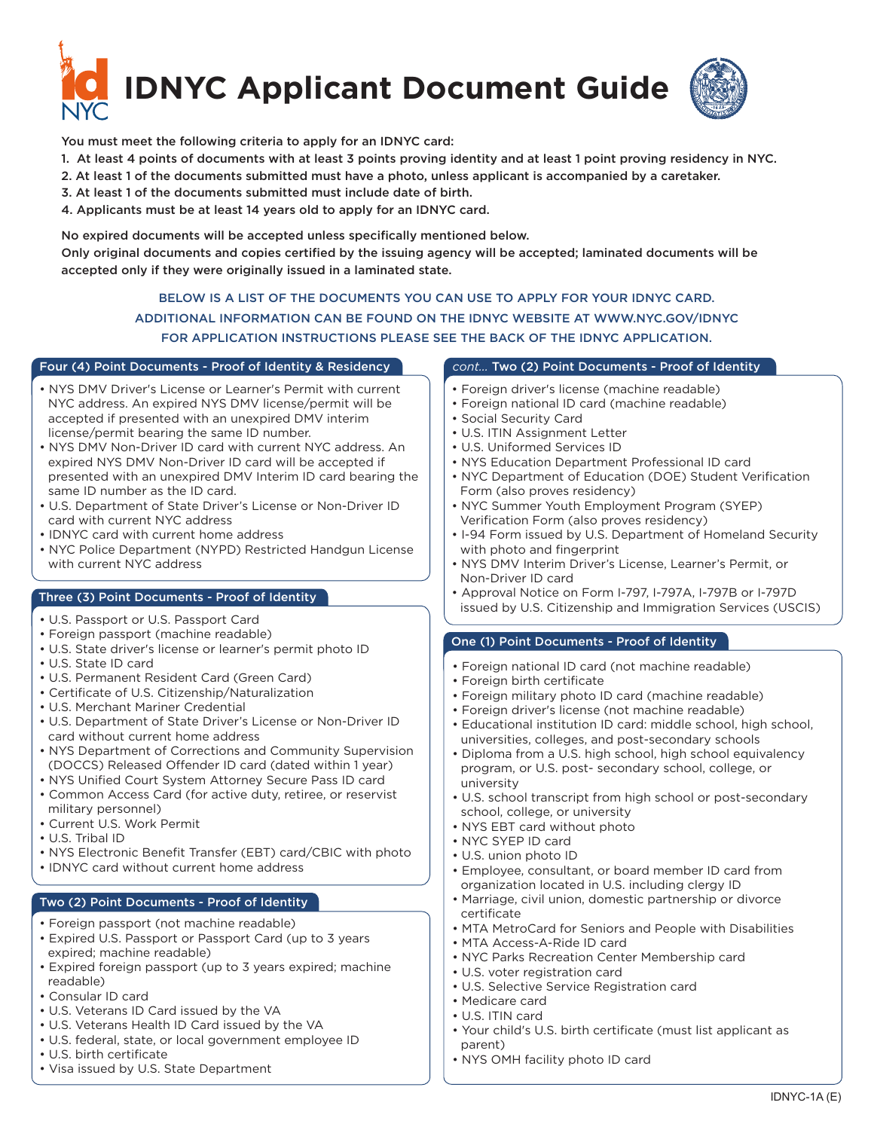



You must meet the following criteria to apply for an IDNYC card:

- 1. At least 4 points of documents with at least 3 points proving identity and at least 1 point proving residency in NYC.
- 2. At least 1 of the documents submitted must have a photo, unless applicant is accompanied by a caretaker.
- 3. At least 1 of the documents submitted must include date of birth.
- 4. Applicants must be at least 14 years old to apply for an IDNYC card.

No expired documents will be accepted unless specifically mentioned below.

Only original documents and copies certified by the issuing agency will be accepted; laminated documents will be accepted only if they were originally issued in a laminated state.

## BELOW IS A LIST OF THE DOCUMENTS YOU CAN USE TO APPLY FOR YOUR IDNYC CARD. ADDITIONAL INFORMATION CAN BE FOUND ON THE IDNYC WEBSITE AT WWW.NYC.GOV/IDNYC FOR APPLICATION INSTRUCTIONS PLEASE SEE THE BACK OF THE IDNYC APPLICATION.

### Four (4) Point Documents - Proof of Identity & Residency

- NYS DMV Driver's License or Learner's Permit with current NYC address. An expired NYS DMV license/permit will be accepted if presented with an unexpired DMV interim license/permit bearing the same ID number.
- NYS DMV Non-Driver ID card with current NYC address. An expired NYS DMV Non-Driver ID card will be accepted if presented with an unexpired DMV Interim ID card bearing the same ID number as the ID card.
- U.S. Department of State Driver's License or Non-Driver ID card with current NYC address
- IDNYC card with current home address
- NYC Police Department (NYPD) Restricted Handgun License with current NYC address

## Three (3) Point Documents - Proof of Identity

- U.S. Passport or U.S. Passport Card
- Foreign passport (machine readable)
- U.S. State driver's license or learner's permit photo ID
- U.S. State ID card
- U.S. Permanent Resident Card (Green Card)
- Certificate of U.S. Citizenship/Naturalization
- U.S. Merchant Mariner Credential
- U.S. Department of State Driver's License or Non-Driver ID card without current home address
- NYS Department of Corrections and Community Supervision (DOCCS) Released Offender ID card (dated within 1 year)
- NYS Unified Court System Attorney Secure Pass ID card
- Common Access Card (for active duty, retiree, or reservist military personnel)
- Current U.S. Work Permit
- U.S. Tribal ID
- NYS Electronic Benefit Transfer (EBT) card/CBIC with photo
- IDNYC card without current home address

# Two (2) Point Documents - Proof of Identity

- Foreign passport (not machine readable)
- Expired U.S. Passport or Passport Card (up to 3 years expired; machine readable)
- Expired foreign passport (up to 3 years expired; machine readable)
- Consular ID card
- U.S. Veterans ID Card issued by the VA
- U.S. Veterans Health ID Card issued by the VA
- U.S. federal, state, or local government employee ID
- U.S. birth certificate
- Visa issued by U.S. State Department

#### *cont...* Two (2) Point Documents - Proof of Identity

- Foreign driver's license (machine readable)
- Foreign national ID card (machine readable)
- Social Security Card
- U.S. ITIN Assignment Letter
- U.S. Uniformed Services ID
- NYS Education Department Professional ID card
- NYC Department of Education (DOE) Student Verification Form (also proves residency)
- NYC Summer Youth Employment Program (SYEP) Verification Form (also proves residency)
- I-94 Form issued by U.S. Department of Homeland Security with photo and fingerprint
- NYS DMV Interim Driver's License, Learner's Permit, or Non-Driver ID card
- Approval Notice on Form I-797, I-797A, I-797B or I-797D issued by U.S. Citizenship and Immigration Services (USCIS)

## One (1) Point Documents - Proof of Identity

- Foreign national ID card (not machine readable)
- Foreign birth certificate
- Foreign military photo ID card (machine readable)
- Foreign driver's license (not machine readable)
- Educational institution ID card: middle school, high school, universities, colleges, and post-secondary schools
- Diploma from a U.S. high school, high school equivalency program, or U.S. post- secondary school, college, or university
- U.S. school transcript from high school or post-secondary school, college, or university
- NYS EBT card without photo
- NYC SYEP ID card
- U.S. union photo ID
- Employee, consultant, or board member ID card from organization located in U.S. including clergy ID
- Marriage, civil union, domestic partnership or divorce certificate
- MTA MetroCard for Seniors and People with Disabilities
- MTA Access-A-Ride ID card
- NYC Parks Recreation Center Membership card
- U.S. voter registration card
- U.S. Selective Service Registration card
- Medicare card
- U.S. ITIN card
- Your child's U.S. birth certificate (must list applicant as parent)
- NYS OMH facility photo ID card